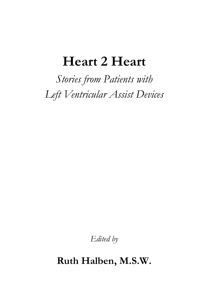# **Heart 2 Heart**

*Stories from Patients with Left Ventricular Assist Devices*

*Edited by*

**Ruth Halben, M.S.W.**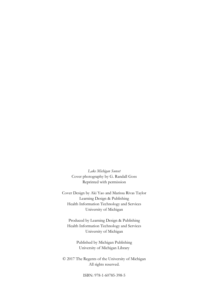*Lake Michigan Sunset* Cover photography by G. Randall Goss Reprinted with permission

Cover Design by Aki Yao and Marissa Rivas Taylor Learning Design & Publishing Health Information Technology and Services University of Michigan

Produced by Learning Design & Publishing Health Information Technology and Services University of Michigan

> Published by Michigan Publishing University of Michigan Library

© 2017 The Regents of the University of Michigan All rights reserved.

ISBN: 978-1-60785-398-5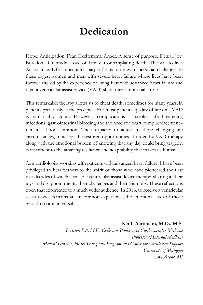### **Dedication**

Hope. Anticipation. Fear. Excitement. Anger. A sense of purpose. Denial. Joy. Boredom. Gratitude. Love of family. Contemplating death. The will to live. Acceptance. Life comes into sharper focus in times of personal challenge. In these pages, women and men with severe heart failure whose lives have been forever altered by the experience of living first with advanced heart failure and then a ventricular assist device (VAD) share their emotional stories.

This remarkable therapy allows us to cheat death, sometimes for many years, in patients previously at the precipice. For most patients, quality of life on a VAD is remarkably good. However, complications – stroke, life-threatening infections, gastrointestinal bleeding and the need for heart pump replacement remain all too common. Their capacity to adjust to these changing life circumstances, to accept the restored opportunities afforded by VAD therapy along with the emotional burden of knowing that any day could bring tragedy, is testament to the amazing resilience and adaptability that makes us human.

As a cardiologist working with patients with advanced heart failure, I have been privileged to bear witness to the spirit of those who have pioneered the first two decades of widely-available ventricular assist device therapy, sharing in their joys and disappointments, their challenges and their triumphs. These reflections open that experience to a much wider audience. In 2016, to receive a ventricular assist device remains an uncommon experience; the emotional lives of those who do so are universal.

#### **Keith Aaronson, M.D., M.S.**

*Bertram Pitt, M.D. Collegiate Professor of Cardiovascular Medicine Professor of Internal Medicine Medical Director, Heart Transplant Program and Center for Circulatory Support University of Michigan Ann Arbor, MI*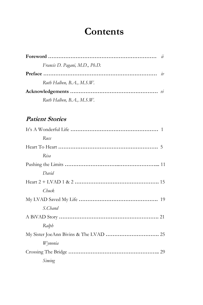### **Contents**

| Francis D. Pagani, M.D., Ph.D. |  |
|--------------------------------|--|
|                                |  |
| Ruth Halben, B.A., M.S.W.      |  |
|                                |  |
| Ruth Halben, B.A., M.S.W.      |  |

### **Patient Stories**

| Russ    |
|---------|
|         |
| Risa    |
|         |
| David   |
|         |
| Chuck.  |
|         |
| S.Chand |
|         |
| Ralph   |
|         |
| Wynonia |
|         |
| Siming  |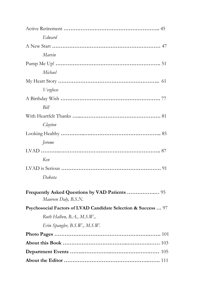| Edward                                                         |
|----------------------------------------------------------------|
|                                                                |
| Marvin                                                         |
|                                                                |
| Michael                                                        |
|                                                                |
| Verghese                                                       |
|                                                                |
| Bill                                                           |
|                                                                |
| Clayton                                                        |
|                                                                |
| Jerome                                                         |
|                                                                |
| Ken                                                            |
|                                                                |
| Dakota                                                         |
| Frequently Asked Questions by VAD Patients  95                 |
| Maureen Daly, B.S.N.                                           |
| Psychosocial Factors of LVAD Candidate Selection & Success  97 |
| Ruth Halben, B.A., M.S.W.,                                     |
| Erin Spangler, B.S.W., M.S.W.                                  |
|                                                                |
|                                                                |
|                                                                |
|                                                                |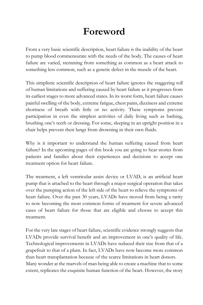## **Foreword**

From a very basic scientific description, heart failure is the inability of the heart to pump blood commensurate with the needs of the body. The causes of heart failure are varied, stemming from something as common as a heart attack to something less common, such as a genetic defect in the muscle of the heart.

This simplistic scientific description of heart failure ignores the staggering toll of human limitations and suffering caused by heart failure as it progresses from its earliest stages to more advanced states. In its worst form, heart failure causes painful swelling of the body, extreme fatigue, chest pains, dizziness and extreme shortness of breath with little or no activity. These symptoms prevent participation in even the simplest activities of daily living such as bathing, brushing one's teeth or dressing. For some, sleeping in an upright position in a chair helps prevent their lungs from drowning in their own fluids.

Why is it important to understand the human suffering caused from heart failure? In the upcoming pages of this book you are going to hear stories from patients and families about their experiences and decisions to accept one treatment option for heart failure.

The treatment, a left ventricular assist device or LVAD, is an artificial heart pump that is attached to the heart through a major surgical operation that takes over the pumping action of the left side of the heart to relieve the symptoms of heart failure. Over the past 30 years, LVADs have moved from being a rarity to now becoming the most common forms of treatment for severe advanced cases of heart failure for those that are eligible and choose to accept this treatment.

For the very late stages of heart failure, scientific evidence strongly suggests that LVADs provide survival benefit and an improvement in one's quality of life. Technological improvements in LVADs have reduced their size from that of a grapefruit to that of a plum. In fact, LVADs have now become more common than heart transplantation because of the scarce limitations in heart donors. Many wonder at the marvels of man being able to create a machine that to some extent, replicates the exquisite human function of the heart. However, the story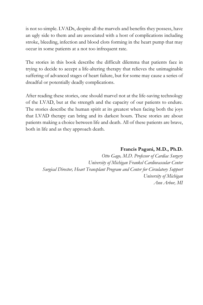is not so simple. LVADs, despite all the marvels and benefits they possess, have an ugly side to them and are associated with a host of complications including stroke, bleeding, infection and blood clots forming in the heart pump that may occur in some patients at a not too infrequent rate.

The stories in this book describe the difficult dilemma that patients face in trying to decide to accept a life-altering therapy that relieves the unimaginable suffering of advanced stages of heart failure, but for some may cause a series of dreadful or potentially deadly complications.

After reading these stories, one should marvel not at the life-saving technology of the LVAD, but at the strength and the capacity of our patients to endure. The stories describe the human spirit at its greatest when facing both the joys that LVAD therapy can bring and its darkest hours. These stories are about patients making a choice between life and death. All of these patients are brave, both in life and as they approach death.

### **Francis Pagani, M.D., Ph.D.**

*Otto Gago, M.D. Professor of Cardiac Surgery University of Michigan Frankel Cardiovascular Center Surgical Director, Heart Transplant Program and Center for Circulatory Support University of Michigan Ann Arbor, MI*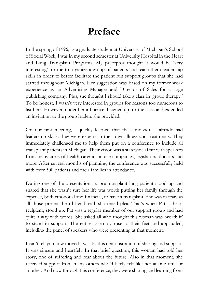## **Preface**

In the spring of 1996, as a graduate student at University of Michigan's School of Social Work, I was in my second semester at University Hospital in the Heart and Lung Transplant Programs. My preceptor thought it would be 'very interesting' for me to organize a group of patients and teach them leadership skills in order to better facilitate the patient run support groups that she had started throughout Michigan. Her suggestion was based on my former work experience as an Advertising Manager and Director of Sales for a large publishing company. Plus, she thought I should take a class in 'group therapy.' To be honest, I wasn't very interested in groups for reasons too numerous to list here. However, under her influence, I signed up for the class and extended an invitation to the group leaders she provided.

On our first meeting, I quickly learned that these individuals already had leadership skills; they were experts in their own illness and treatments. They immediately challenged me to help them put on a conference to include all transplant patients in Michigan. Their vision was a statewide affair with speakers from many areas of health care: insurance companies, legislators, doctors and more. After several months of planning, the conference was successfully held with over 500 patients and their families in attendance.

During one of the presentations, a pre-transplant lung patient stood up and shared that she wasn't sure her life was worth putting her family through the expense, both emotional and financial, to have a transplant. She was in tears as all those present heard her breath-shortened plea. That's when Pat, a heart recipient, stood up. Pat was a regular member of our support group and had quite a way with words. She asked all who thought this woman was 'worth it' to stand in support. The entire assembly rose to their feet and applauded, including the panel of speakers who were presenting at that moment.

I can't tell you how moved I was by this demonstration of sharing and support. It was sincere and heartfelt. In that brief question, this woman had told her story, one of suffering and fear about the future. Also in that moment, she received support from many others who'd likely felt like her at one time or another. And now through this conference, they were sharing and learning from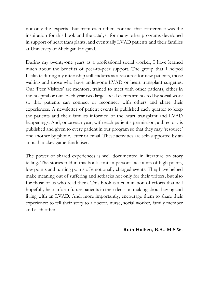not only the 'experts,' but from each other. For me, that conference was the inspiration for this book and the catalyst for many other programs developed in support of heart transplants, and eventually LVAD patients and their families at University of Michigan Hospital.

During my twenty-one years as a professional social worker, I have learned much about the benefits of peer-to-peer support. The group that I helped facilitate during my internship still endures as a resource for new patients, those waiting and those who have undergone LVAD or heart transplant surgeries. Our 'Peer Visitors' are mentors, trained to meet with other patients, either in the hospital or out. Each year two large social events are hosted by social work so that patients can connect or reconnect with others and share their experiences. A newsletter of patient events is published each quarter to keep the patients and their families informed of the heart transplant and LVAD happenings. And, once each year, with each patient's permission, a directory is published and given to every patient in our program so that they may 'resource' one another by phone, letter or email. These activities are self-supported by an annual hockey game fundraiser.

The power of shared experiences is well documented in literature on story telling. The stories told in this book contain personal accounts of high points, low points and turning points of emotionally charged events. They have helped make meaning out of suffering and setbacks not only for their writers, but also for those of us who read them. This book is a culmination of efforts that will hopefully help inform future patients in their decision making about having and living with an LVAD. And, more importantly, encourage them to share their experience; to tell their story to a doctor, nurse, social worker, family member and each other.

**Ruth Halben, B.A., M.S.W.**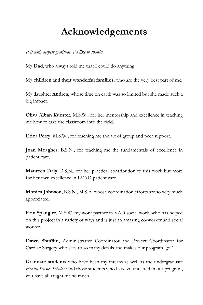## **Acknowledgements**

*It is with deepest gratitude, I'd like to thank:*

My **Dad**, who always told me that I could do anything.

My **children** and **their wonderful families,** who are the very best part of me.

My daughter **Andrea**, whose time on earth was so limited but she made such a big impact.

**Oliva Alban Kuester**, M.S.W., for her mentorship and excellence in teaching me how to take the classroom into the field.

**Erica Perry**, M.S.W., for teaching me the art of group and peer support.

**Joan Meagher**, B.S.N., for teaching me the fundamentals of excellence in patient care.

**Maureen Daly**, B.S.N., for her practical contribution to this work but more for her own excellence in LVAD patient care.

**Monica Johnson**, B.S.N., M.S.A. whose coordination efforts are so very much appreciated.

**Erin Spangler**, M.S.W. my work partner in VAD social work, who has helped on this project in a variety of ways and is just an amazing co-worker and social worker.

**Dawn Shufflin**, Administrative Coordinator and Project Coordinator for Cardiac Surgery who sees to so many details and makes our program 'go.'

**Graduate students** who have been my interns as well as the undergraduate *Health Science Scholars* and those students who have volunteered in our program, you have all taught me so much.